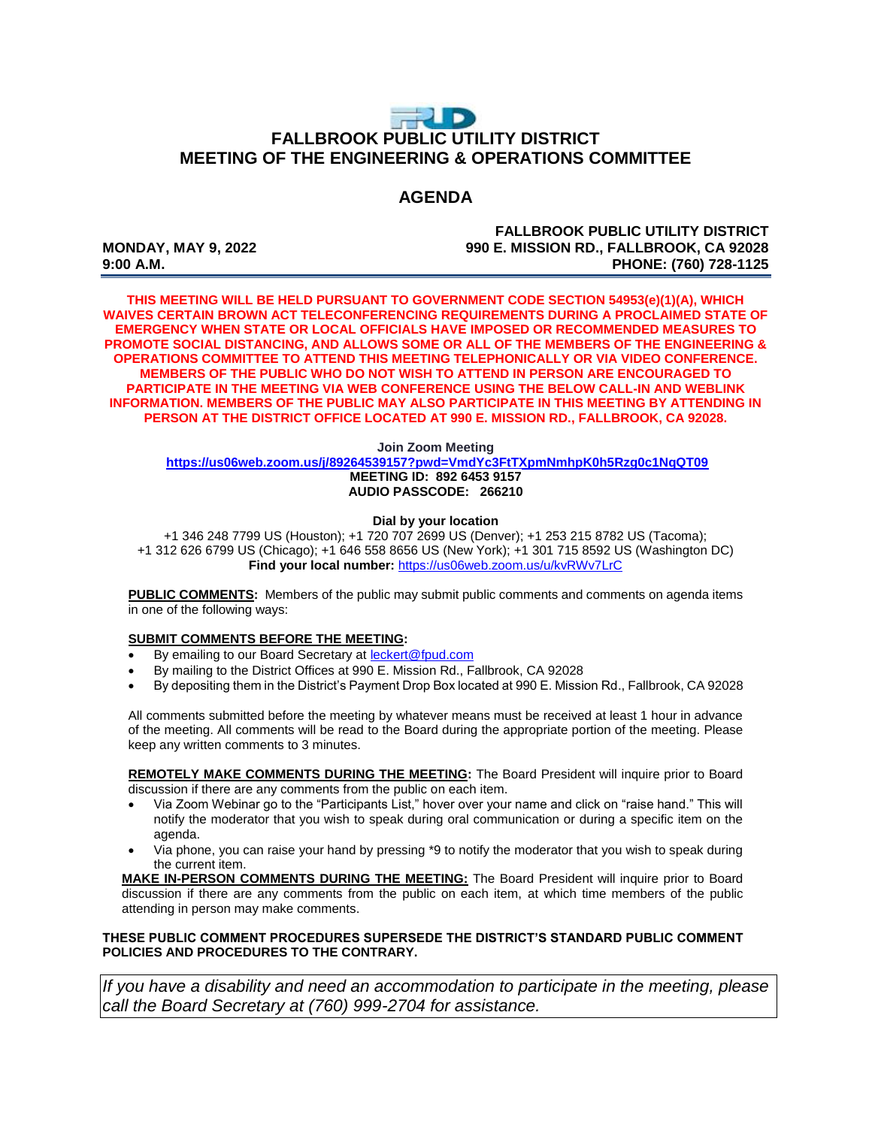## $\Rightarrow$  D **FALLBROOK PUBLIC UTILITY DISTRICT MEETING OF THE ENGINEERING & OPERATIONS COMMITTEE**

### **AGENDA**

**FALLBROOK PUBLIC UTILITY DISTRICT MONDAY, MAY 9, 2022 990 E. MISSION RD., FALLBROOK, CA 92028 9:00 A.M. PHONE: (760) 728-1125**

**THIS MEETING WILL BE HELD PURSUANT TO GOVERNMENT CODE SECTION 54953(e)(1)(A), WHICH WAIVES CERTAIN BROWN ACT TELECONFERENCING REQUIREMENTS DURING A PROCLAIMED STATE OF EMERGENCY WHEN STATE OR LOCAL OFFICIALS HAVE IMPOSED OR RECOMMENDED MEASURES TO PROMOTE SOCIAL DISTANCING, AND ALLOWS SOME OR ALL OF THE MEMBERS OF THE ENGINEERING & OPERATIONS COMMITTEE TO ATTEND THIS MEETING TELEPHONICALLY OR VIA VIDEO CONFERENCE. MEMBERS OF THE PUBLIC WHO DO NOT WISH TO ATTEND IN PERSON ARE ENCOURAGED TO PARTICIPATE IN THE MEETING VIA WEB CONFERENCE USING THE BELOW CALL-IN AND WEBLINK INFORMATION. MEMBERS OF THE PUBLIC MAY ALSO PARTICIPATE IN THIS MEETING BY ATTENDING IN PERSON AT THE DISTRICT OFFICE LOCATED AT 990 E. MISSION RD., FALLBROOK, CA 92028.**

#### **Join Zoom Meeting**

**<https://us06web.zoom.us/j/89264539157?pwd=VmdYc3FtTXpmNmhpK0h5Rzg0c1NqQT09> MEETING ID: 892 6453 9157 AUDIO PASSCODE: 266210**

#### **Dial by your location**

+1 346 248 7799 US (Houston); +1 720 707 2699 US (Denver); +1 253 215 8782 US (Tacoma); +1 312 626 6799 US (Chicago); +1 646 558 8656 US (New York); +1 301 715 8592 US (Washington DC) **Find your local number:** <https://us06web.zoom.us/u/kvRWv7LrC>

**PUBLIC COMMENTS:** Members of the public may submit public comments and comments on agenda items in one of the following ways:

#### **SUBMIT COMMENTS BEFORE THE MEETING:**

- By emailing to our Board Secretary at **leckert@fpud.com**
- By mailing to the District Offices at 990 E. Mission Rd., Fallbrook, CA 92028
- By depositing them in the District's Payment Drop Box located at 990 E. Mission Rd., Fallbrook, CA 92028

All comments submitted before the meeting by whatever means must be received at least 1 hour in advance of the meeting. All comments will be read to the Board during the appropriate portion of the meeting. Please keep any written comments to 3 minutes.

**REMOTELY MAKE COMMENTS DURING THE MEETING:** The Board President will inquire prior to Board discussion if there are any comments from the public on each item.

- Via Zoom Webinar go to the "Participants List," hover over your name and click on "raise hand." This will notify the moderator that you wish to speak during oral communication or during a specific item on the agenda.
- Via phone, you can raise your hand by pressing \*9 to notify the moderator that you wish to speak during the current item.

**MAKE IN-PERSON COMMENTS DURING THE MEETING:** The Board President will inquire prior to Board discussion if there are any comments from the public on each item, at which time members of the public attending in person may make comments.

#### **THESE PUBLIC COMMENT PROCEDURES SUPERSEDE THE DISTRICT'S STANDARD PUBLIC COMMENT POLICIES AND PROCEDURES TO THE CONTRARY.**

*If you have a disability and need an accommodation to participate in the meeting, please call the Board Secretary at (760) 999-2704 for assistance.*